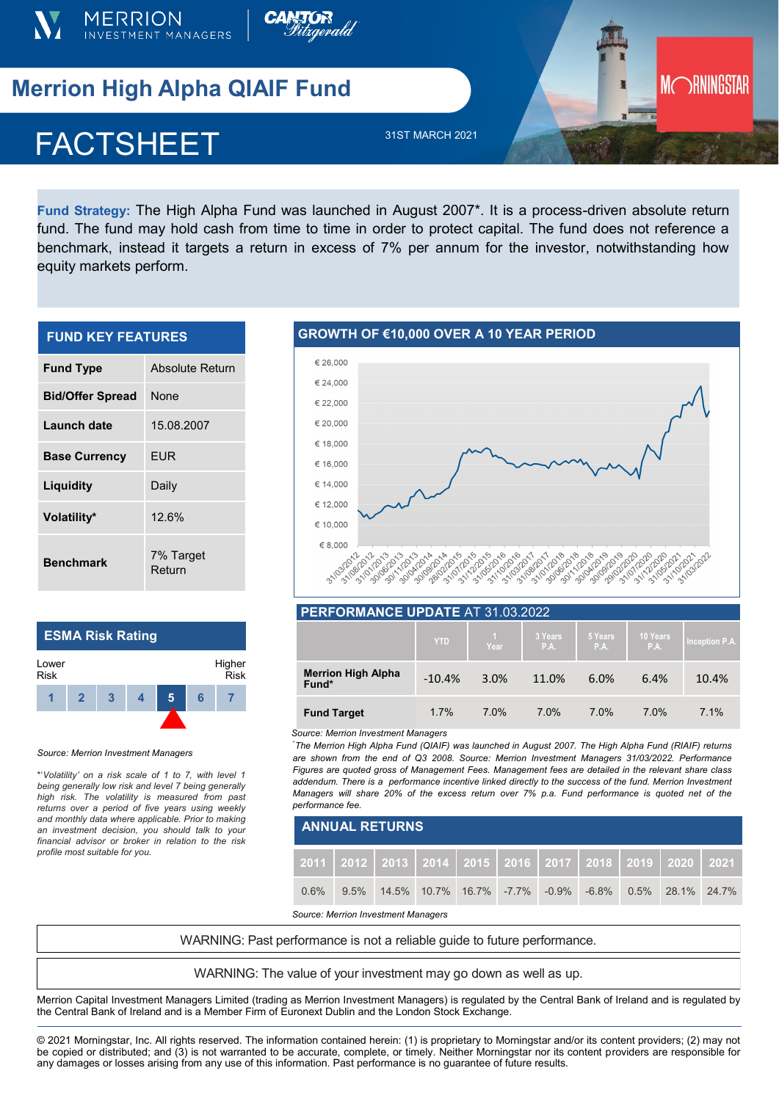



# **Merrion High Alpha QIAIF Fund**

# **FACTSHEE** FACTSHEET

31ST MARCH 2021

**Fund Strategy:** The High Alpha Fund was launched in August 2007\*. It is a process-driven absolute return fund. The fund may hold cash from time to time in order to protect capital. The fund does not reference a benchmark, instead it targets a return in excess of 7% per annum for the investor, notwithstanding how equity markets perform.

| <b>FUND KEY FEATURES</b> |                     |  |  |  |  |  |
|--------------------------|---------------------|--|--|--|--|--|
| <b>Fund Type</b>         | Absolute Return     |  |  |  |  |  |
| <b>Bid/Offer Spread</b>  | None                |  |  |  |  |  |
| Launch date              | 15.08.2007          |  |  |  |  |  |
| <b>Base Currency</b>     | EUR                 |  |  |  |  |  |
| Liquidity                | Daily               |  |  |  |  |  |
| Volatility*              | 12.6%               |  |  |  |  |  |
| <b>Benchmark</b>         | 7% Target<br>Return |  |  |  |  |  |

## **ESMA Risk Rating**



### *Source: Merrion Investment Managers*

\*'*Volatility' on a risk scale of 1 to 7, with level 1 being generally low risk and level 7 being generally high risk. The volatility is measured from past returns over a period of five years using weekly and monthly data where applicable. Prior to making an investment decision, you should talk to your financial advisor or broker in relation to the risk profile most suitable for you.* 

## **GROWTH OF €10,000 OVER A 10 YEAR PERIOD**



**MORNINGSTAR** 

## **PERFORMANCE UPDATE** AT 31.03.2022

|                                    | <b>YTD</b> | Year | 3 Years<br>P.A. | 5 Years<br>P.A. | 10 Years<br>P.A. | Inception P.A. |
|------------------------------------|------------|------|-----------------|-----------------|------------------|----------------|
| <b>Merrion High Alpha</b><br>Fund* | $-10.4%$   | 3.0% | 11.0%           | 6.0%            | 6.4%             | 10.4%          |
| <b>Fund Target</b>                 | 1.7%       | 7.0% | 7.0%            | 7.0%            | 7.0%             | 7.1%           |

#### *Source: Merrion Investment Managers*

\* *The Merrion High Alpha Fund (QIAIF) was launched in August 2007. The High Alpha Fund (RIAIF) returns are shown from the end of Q3 2008. Source: Merrion Investment Managers 31/03/2022. Performance Figures are quoted gross of Management Fees. Management fees are detailed in the relevant share class addendum. There is a performance incentive linked directly to the success of the fund. Merrion Investment Managers will share 20% of the excess return over 7% p.a. Fund performance is quoted net of the performance fee.*

| <b>ANNUAL RETURNS</b> |  |                                                                                         |  |  |  |  |  |  |  |  |
|-----------------------|--|-----------------------------------------------------------------------------------------|--|--|--|--|--|--|--|--|
|                       |  | 2011   2012   2013   2014   2015   2016   2017   2018   2019   2020   2021              |  |  |  |  |  |  |  |  |
| $0.6\%$               |  | $9.5\%$ $14.5\%$ $10.7\%$ $16.7\%$ $-7.7\%$ $-0.9\%$ $-6.8\%$ $0.5\%$ $28.1\%$ $24.7\%$ |  |  |  |  |  |  |  |  |

*Source: Merrion Investment Managers*

WARNING: Past performance is not a reliable guide to future performance.

WARNING: The value of your investment may go down as well as up.

Merrion Capital Investment Managers Limited (trading as Merrion Investment Managers) is regulated by the Central Bank of Ireland and is regulated by the Central Bank of Ireland and is a Member Firm of Euronext Dublin and the London Stock Exchange.

© 2021 Morningstar, Inc. All rights reserved. The information contained herein: (1) is proprietary to Morningstar and/or its content providers; (2) may not be copied or distributed; and (3) is not warranted to be accurate, complete, or timely. Neither Morningstar nor its content providers are responsible for any damages or losses arising from any use of this information. Past performance is no guarantee of future results.